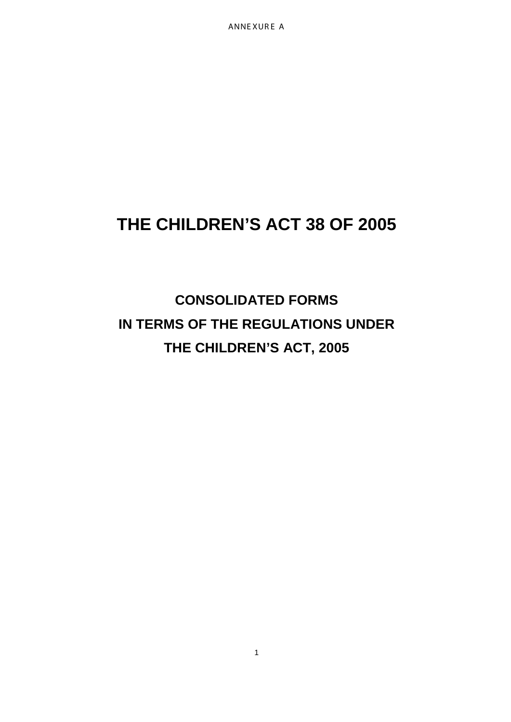ANNE XUR E A

# **THE CHILDREN'S ACT 38 OF 2005**

**CONSOLIDATED FORMS IN TERMS OF THE REGULATIONS UNDER THE CHILDREN'S ACT, 2005**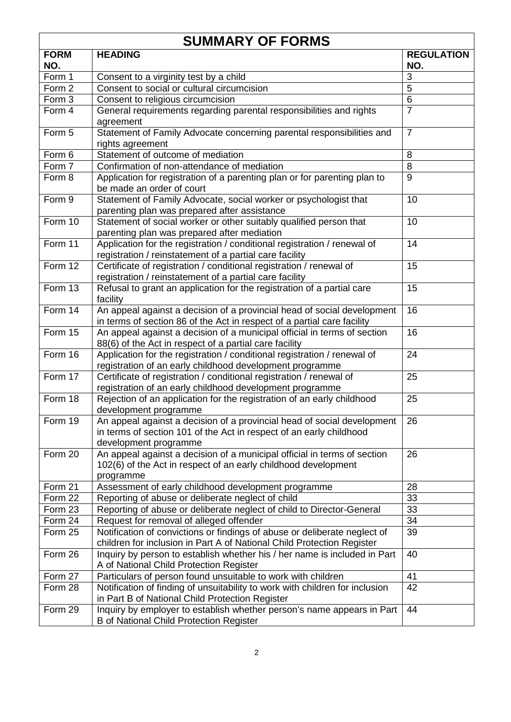| <b>SUMMARY OF FORMS</b> |                                                                                                                                                                         |                          |  |  |
|-------------------------|-------------------------------------------------------------------------------------------------------------------------------------------------------------------------|--------------------------|--|--|
| <b>FORM</b><br>NO.      | <b>HEADING</b>                                                                                                                                                          | <b>REGULATION</b><br>NO. |  |  |
| Form 1                  | Consent to a virginity test by a child                                                                                                                                  | 3                        |  |  |
| Form 2                  | Consent to social or cultural circumcision                                                                                                                              | 5                        |  |  |
| Form 3                  | Consent to religious circumcision                                                                                                                                       | 6                        |  |  |
| Form 4                  | General requirements regarding parental responsibilities and rights<br>agreement                                                                                        | $\overline{7}$           |  |  |
| Form 5                  | Statement of Family Advocate concerning parental responsibilities and<br>rights agreement                                                                               | $\overline{7}$           |  |  |
| Form 6                  | Statement of outcome of mediation                                                                                                                                       | 8                        |  |  |
| Form 7                  | Confirmation of non-attendance of mediation                                                                                                                             | 8                        |  |  |
| Form 8                  | Application for registration of a parenting plan or for parenting plan to<br>be made an order of court                                                                  | 9                        |  |  |
| Form 9                  | Statement of Family Advocate, social worker or psychologist that<br>parenting plan was prepared after assistance                                                        | 10                       |  |  |
| Form 10                 | Statement of social worker or other suitably qualified person that<br>parenting plan was prepared after mediation                                                       | 10                       |  |  |
| Form 11                 | Application for the registration / conditional registration / renewal of<br>registration / reinstatement of a partial care facility                                     | 14                       |  |  |
| Form 12                 | Certificate of registration / conditional registration / renewal of<br>registration / reinstatement of a partial care facility                                          | 15                       |  |  |
| Form 13                 | Refusal to grant an application for the registration of a partial care<br>facility                                                                                      | 15                       |  |  |
| Form 14                 | An appeal against a decision of a provincial head of social development<br>in terms of section 86 of the Act in respect of a partial care facility                      | 16                       |  |  |
| Form 15                 | An appeal against a decision of a municipal official in terms of section<br>88(6) of the Act in respect of a partial care facility                                      | 16                       |  |  |
| Form 16                 | Application for the registration / conditional registration / renewal of<br>registration of an early childhood development programme                                    | 24                       |  |  |
| Form 17                 | Certificate of registration / conditional registration / renewal of<br>registration of an early childhood development programme                                         | 25                       |  |  |
| Form 18                 | Rejection of an application for the registration of an early childhood<br>development programme                                                                         | 25                       |  |  |
| Form 19                 | An appeal against a decision of a provincial head of social development<br>in terms of section 101 of the Act in respect of an early childhood<br>development programme | 26                       |  |  |
| Form 20                 | An appeal against a decision of a municipal official in terms of section<br>102(6) of the Act in respect of an early childhood development<br>programme                 | 26                       |  |  |
| Form 21                 | Assessment of early childhood development programme                                                                                                                     | 28                       |  |  |
| Form 22                 | Reporting of abuse or deliberate neglect of child                                                                                                                       | 33                       |  |  |
| Form 23                 | Reporting of abuse or deliberate neglect of child to Director-General                                                                                                   | 33                       |  |  |
| Form 24                 | Request for removal of alleged offender                                                                                                                                 | 34                       |  |  |
| Form 25                 | Notification of convictions or findings of abuse or deliberate neglect of<br>children for inclusion in Part A of National Child Protection Register                     | 39                       |  |  |
| Form 26                 | Inquiry by person to establish whether his / her name is included in Part<br>A of National Child Protection Register                                                    | 40                       |  |  |
| Form 27                 | Particulars of person found unsuitable to work with children                                                                                                            | 41                       |  |  |
| Form 28                 | Notification of finding of unsuitability to work with children for inclusion<br>in Part B of National Child Protection Register                                         | 42                       |  |  |
| Form 29                 | Inquiry by employer to establish whether person's name appears in Part<br><b>B</b> of National Child Protection Register                                                | 44                       |  |  |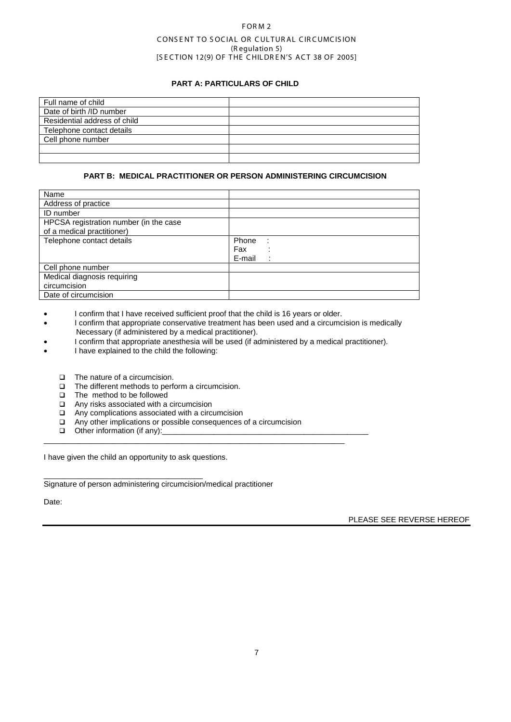## F OR M 2

## CONSENT TO SOCIAL OR CULTURAL CIRCUMCISION (R egulation 5) [SECTION 12(9) OF THE CHILDREN'S ACT 38 OF 2005]

## **PART A: PARTICULARS OF CHILD**

| Full name of child           |  |
|------------------------------|--|
| Date of birth /ID number     |  |
| Residential address of child |  |
| Telephone contact details    |  |
| Cell phone number            |  |
|                              |  |
|                              |  |

#### **PART B: MEDICAL PRACTITIONER OR PERSON ADMINISTERING CIRCUMCISION**

| Name                                   |                     |
|----------------------------------------|---------------------|
| Address of practice                    |                     |
| ID number                              |                     |
| HPCSA registration number (in the case |                     |
| of a medical practitioner)             |                     |
| Telephone contact details              | Phone<br>$\sim$ 1   |
|                                        | Fax                 |
|                                        | E-mail<br>$\bullet$ |
| Cell phone number                      |                     |
| Medical diagnosis requiring            |                     |
| circumcision                           |                     |
| Date of circumcision                   |                     |

- I confirm that I have received sufficient proof that the child is 16 years or older.
- I confirm that appropriate conservative treatment has been used and a circumcision is medically Necessary (if administered by a medical practitioner).
- I confirm that appropriate anesthesia will be used (if administered by a medical practitioner).
- I have explained to the child the following:
	- □ The nature of a circumcision.
	- The different methods to perform a circumcision.
	- $\Box$  The method to be followed
	- Any risks associated with a circumcision
	- □ Any complications associated with a circumcision
	- $\Box$  Any other implications or possible consequences of a circumcision

\_\_\_\_\_\_\_\_\_\_\_\_\_\_\_\_\_\_\_\_\_\_\_\_\_\_\_\_\_\_\_\_\_\_\_\_\_\_\_\_\_\_\_\_\_\_\_\_\_\_\_\_\_\_\_\_\_\_\_\_\_\_\_\_\_\_\_\_\_\_

 $\Box$  Other information (if any):

I have given the child an opportunity to ask questions.

\_\_\_\_\_\_\_\_\_\_\_\_\_\_\_\_\_\_\_\_\_\_\_\_\_\_\_\_\_\_\_\_\_\_\_\_\_ Signature of person administering circumcision/medical practitioner

Date:

PLEASE SEE REVERSE HEREOF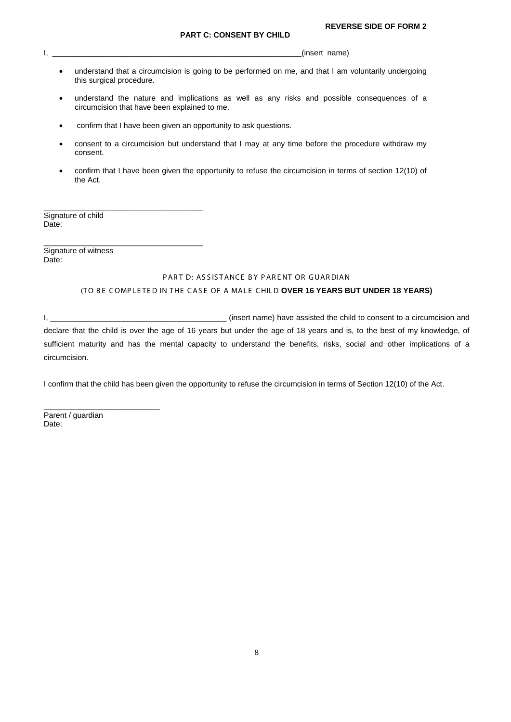$\blacksquare$ 

- understand that a circumcision is going to be performed on me, and that I am voluntarily undergoing this surgical procedure.
- understand the nature and implications as well as any risks and possible consequences of a circumcision that have been explained to me.
- confirm that I have been given an opportunity to ask questions.
- consent to a circumcision but understand that I may at any time before the procedure withdraw my consent.
- confirm that I have been given the opportunity to refuse the circumcision in terms of section 12(10) of the Act.

Signature of child Date:

\_\_\_\_\_\_\_\_\_\_\_\_\_\_\_\_\_\_\_\_\_\_\_\_\_\_\_\_\_\_\_\_\_\_\_\_\_

\_\_\_\_\_\_\_\_\_\_\_\_\_\_\_\_\_\_\_\_\_\_\_\_\_\_\_\_\_\_\_\_\_\_\_\_\_

Signature of witness Date:

## PART D: ASSISTANCE BY PARENT OR GUARDIAN

## (TO BE COMPLETED IN THE CASE OF A MALE CHILD OVER 16 YEARS BUT UNDER 18 YEARS)

I, the consention of the child to consent to a circumcision and in the child to consent to a circumcision and declare that the child is over the age of 16 years but under the age of 18 years and is, to the best of my knowledge, of sufficient maturity and has the mental capacity to understand the benefits, risks, social and other implications of a circumcision.

I confirm that the child has been given the opportunity to refuse the circumcision in terms of Section 12(10) of the Act.

Parent / guardian Date:

**\_\_\_\_\_\_\_\_\_\_\_\_\_\_\_\_\_\_\_\_\_\_\_\_\_\_\_**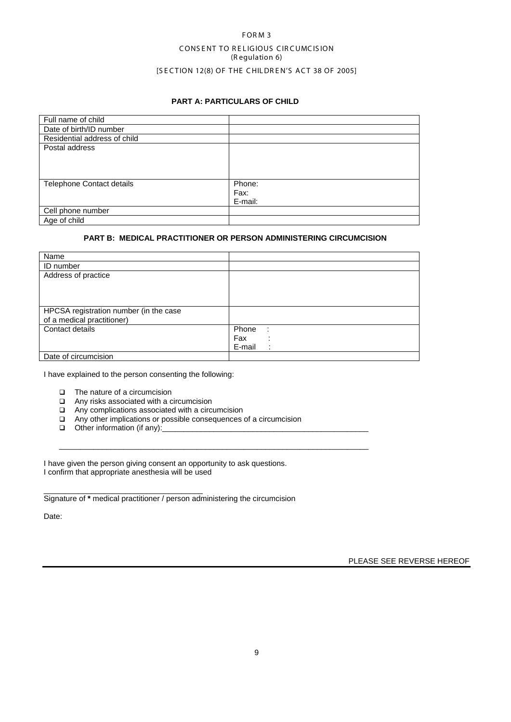# FORM<sub>3</sub> CONS ENT TO RELIGIOUS CIRCUMCISION (R egulation 6) [SECTION 12(8) OF THE CHILDREN'S ACT 38 OF 2005]

## **PART A: PARTICULARS OF CHILD**

| Full name of child           |                           |
|------------------------------|---------------------------|
| Date of birth/ID number      |                           |
| Residential address of child |                           |
| Postal address               |                           |
| Telephone Contact details    | Phone:<br>Fax:<br>E-mail: |
| Cell phone number            |                           |
| Age of child                 |                           |

## **PART B: MEDICAL PRACTITIONER OR PERSON ADMINISTERING CIRCUMCISION**

| Name                                   |              |
|----------------------------------------|--------------|
| <b>ID</b> number                       |              |
| Address of practice                    |              |
|                                        |              |
|                                        |              |
|                                        |              |
| HPCSA registration number (in the case |              |
| of a medical practitioner)             |              |
| Contact details                        | Phone<br>- 1 |
|                                        | Fax          |
|                                        | E-mail       |
| Date of circumcision                   |              |

I have explained to the person consenting the following:

- $\Box$  The nature of a circumcision
- Any risks associated with a circumcision
- □ Any complications associated with a circumcision
- **□** Any other implications or possible consequences of a circumcision

 $\_$  , and the set of the set of the set of the set of the set of the set of the set of the set of the set of the set of the set of the set of the set of the set of the set of the set of the set of the set of the set of th

 $\Box$  Other information (if any):

I have given the person giving consent an opportunity to ask questions. I confirm that appropriate anesthesia will be used

\_\_\_\_\_\_\_\_\_\_\_\_\_\_\_\_\_\_\_\_\_\_\_\_\_\_\_\_\_\_\_\_\_\_\_\_\_ Signature of **\*** medical practitioner / person administering the circumcision

Date:

PLEASE SEE REVERSE HEREOF